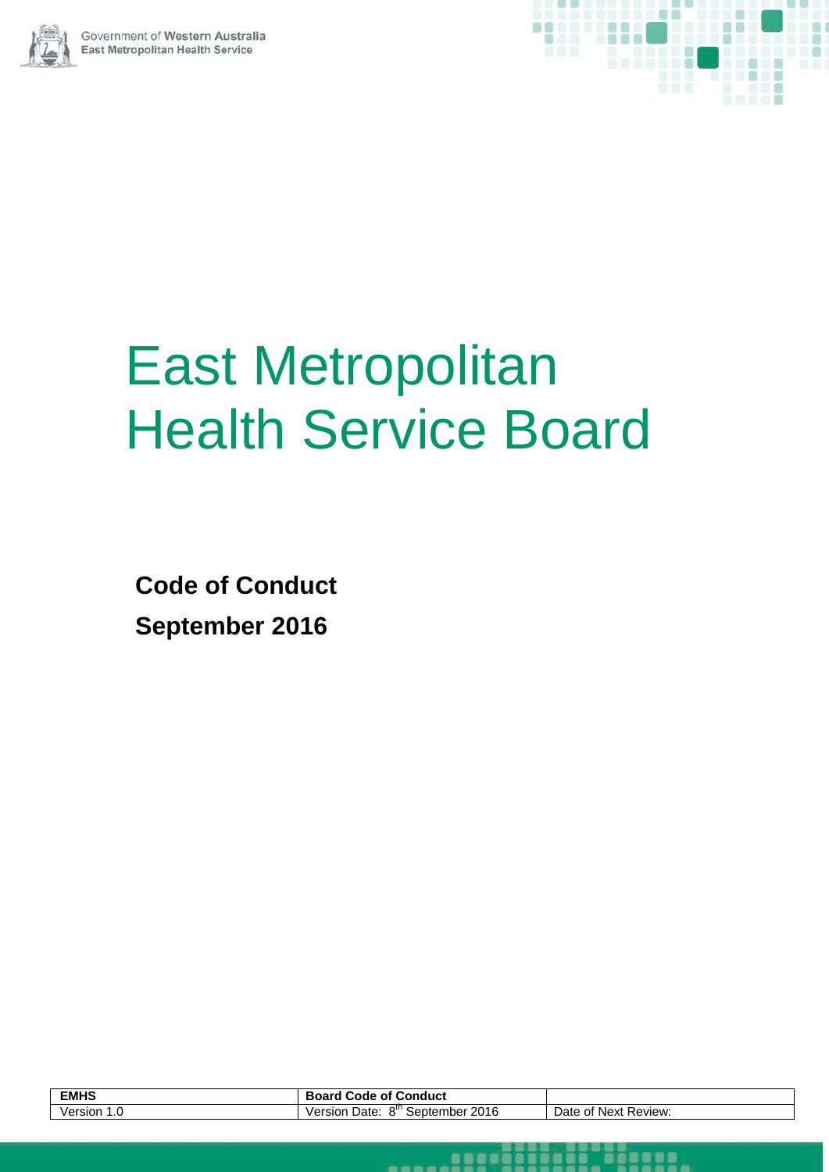



# East Metropolitan Health Service Board

**Code of Conduct September 2016**

| <b>EMHS</b>    | Conduct<br>Board<br>οt<br>Code                                    |                                  |
|----------------|-------------------------------------------------------------------|----------------------------------|
| /ersion<br>، ا | 2016<br>0 <sup>III</sup><br>Date:<br>September<br>/ersion<br>۵۳ ن | Date<br>Review:<br>of Next<br>υı |

. . . . .

aggel

**Tegeae**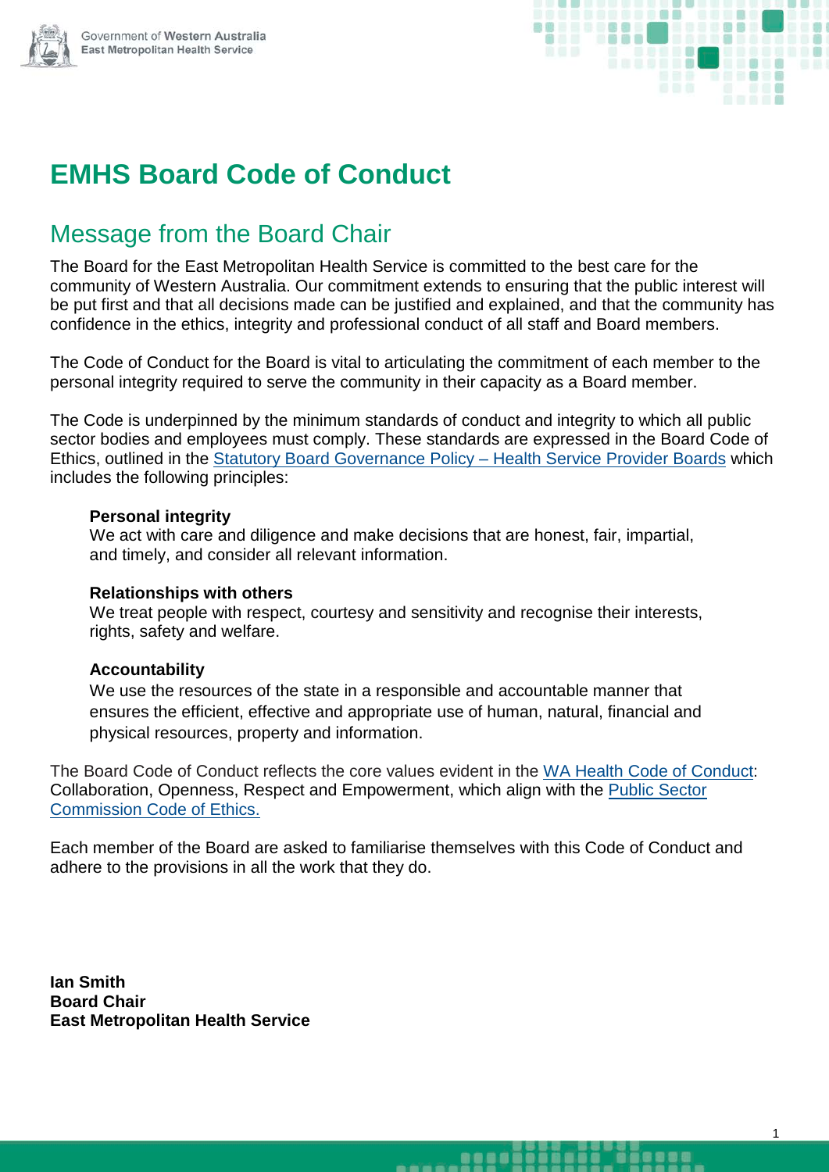

## **EMHS Board Code of Conduct**

## Message from the Board Chair

The Board for the East Metropolitan Health Service is committed to the best care for the community of Western Australia. Our commitment extends to ensuring that the public interest will be put first and that all decisions made can be justified and explained, and that the community has confidence in the ethics, integrity and professional conduct of all staff and Board members.

The Code of Conduct for the Board is vital to articulating the commitment of each member to the personal integrity required to serve the community in their capacity as a Board member.

The Code is underpinned by the minimum standards of conduct and integrity to which all public sector bodies and employees must comply. These standards are expressed in the Board Code of Ethics, outlined in the [Statutory Board Governance Policy –](http://www.health.wa.gov.au/circularsnew/pdfs/13342.pdf) Health Service Provider Boards which includes the following principles:

#### **Personal integrity**

We act with care and diligence and make decisions that are honest, fair, impartial, and timely, and consider all relevant information.

#### **Relationships with others**

We treat people with respect, courtesy and sensitivity and recognise their interests, rights, safety and welfare.

#### **Accountability**

We use the resources of the state in a responsible and accountable manner that ensures the efficient, effective and appropriate use of human, natural, financial and physical resources, property and information.

The Board Code of Conduct reflects the core values evident in the [WA Health Code of Conduct:](http://www.health.wa.gov.au/circularsnew/pdfs/13337.pdf) Collaboration, Openness, Respect and Empowerment, which align with the [Public Sector](https://publicsector.wa.gov.au/sites/default/files/documents/commissioners_instruction_07_code_of_ethics.pdf)  [Commission Code of Ethics.](https://publicsector.wa.gov.au/sites/default/files/documents/commissioners_instruction_07_code_of_ethics.pdf)

Each member of the Board are asked to familiarise themselves with this Code of Conduct and adhere to the provisions in all the work that they do.

**Ian Smith Board Chair East Metropolitan Health Service**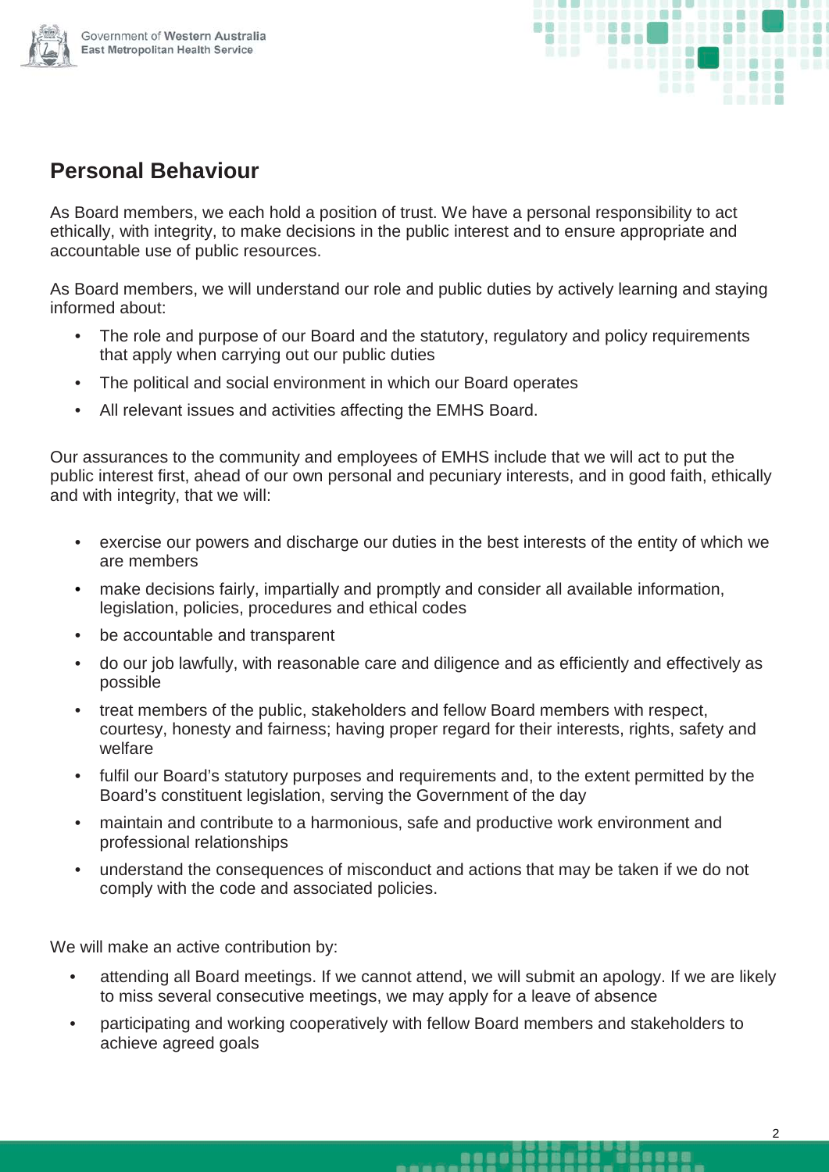



### **Personal Behaviour**

As Board members, we each hold a position of trust. We have a personal responsibility to act ethically, with integrity, to make decisions in the public interest and to ensure appropriate and accountable use of public resources.

As Board members, we will understand our role and public duties by actively learning and staying informed about:

- The role and purpose of our Board and the statutory, regulatory and policy requirements that apply when carrying out our public duties
- The political and social environment in which our Board operates
- All relevant issues and activities affecting the EMHS Board.

Our assurances to the community and employees of EMHS include that we will act to put the public interest first, ahead of our own personal and pecuniary interests, and in good faith, ethically and with integrity, that we will:

- exercise our powers and discharge our duties in the best interests of the entity of which we are members
- make decisions fairly, impartially and promptly and consider all available information, legislation, policies, procedures and ethical codes
- be accountable and transparent
- do our job lawfully, with reasonable care and diligence and as efficiently and effectively as possible
- treat members of the public, stakeholders and fellow Board members with respect, courtesy, honesty and fairness; having proper regard for their interests, rights, safety and welfare
- fulfil our Board's statutory purposes and requirements and, to the extent permitted by the Board's constituent legislation, serving the Government of the day
- maintain and contribute to a harmonious, safe and productive work environment and professional relationships
- understand the consequences of misconduct and actions that may be taken if we do not comply with the code and associated policies.

We will make an active contribution by:

• attending all Board meetings. If we cannot attend, we will submit an apology. If we are likely to miss several consecutive meetings, we may apply for a leave of absence

\_\_\_\_\_\_\_\_\_\_\_**\_**\_

• participating and working cooperatively with fellow Board members and stakeholders to achieve agreed goals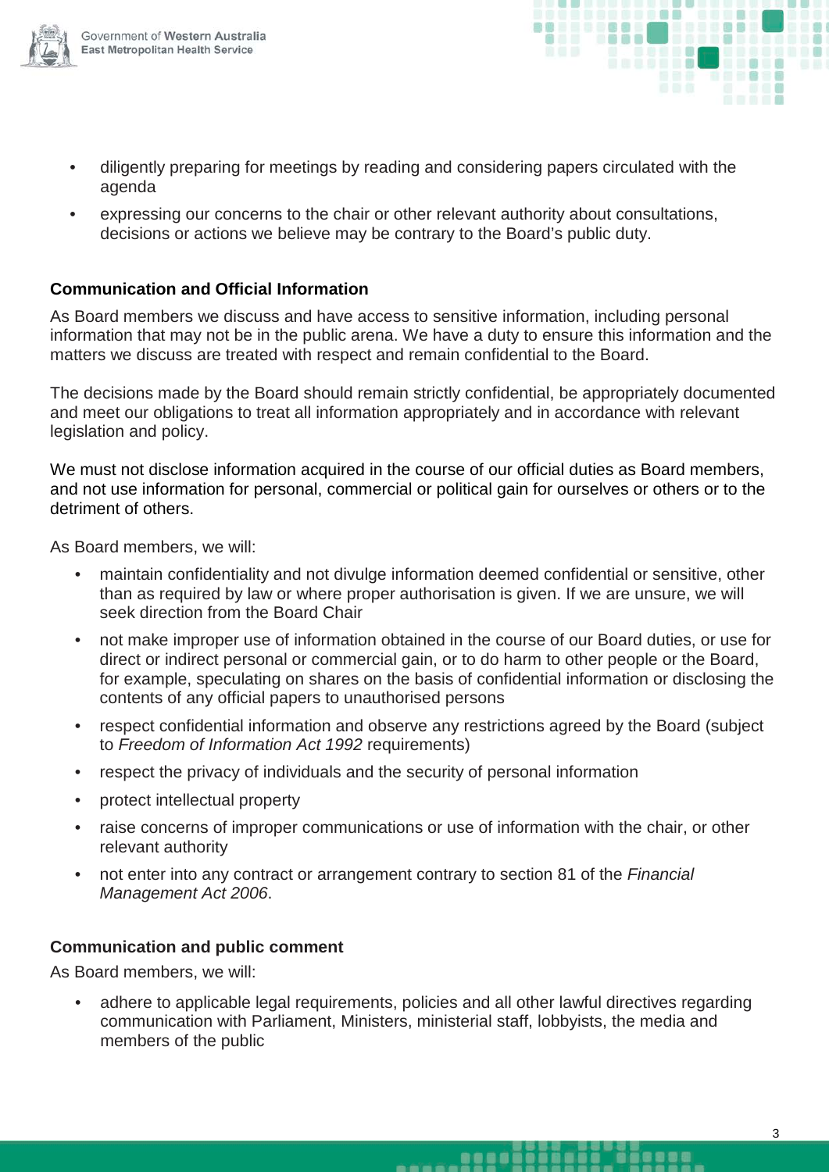

- . . . . . . .
- diligently preparing for meetings by reading and considering papers circulated with the agenda
- expressing our concerns to the chair or other relevant authority about consultations, decisions or actions we believe may be contrary to the Board's public duty.

#### **Communication and Official Information**

As Board members we discuss and have access to sensitive information, including personal information that may not be in the public arena. We have a duty to ensure this information and the matters we discuss are treated with respect and remain confidential to the Board.

The decisions made by the Board should remain strictly confidential, be appropriately documented and meet our obligations to treat all information appropriately and in accordance with relevant legislation and policy.

We must not disclose information acquired in the course of our official duties as Board members, and not use information for personal, commercial or political gain for ourselves or others or to the detriment of others.

As Board members, we will:

- maintain confidentiality and not divulge information deemed confidential or sensitive, other than as required by law or where proper authorisation is given. If we are unsure, we will seek direction from the Board Chair
- not make improper use of information obtained in the course of our Board duties, or use for direct or indirect personal or commercial gain, or to do harm to other people or the Board, for example, speculating on shares on the basis of confidential information or disclosing the contents of any official papers to unauthorised persons
- respect confidential information and observe any restrictions agreed by the Board (subject to *Freedom of Information Act 1992* requirements)
- respect the privacy of individuals and the security of personal information
- protect intellectual property
- raise concerns of improper communications or use of information with the chair, or other relevant authority
- not enter into any contract or arrangement contrary to section 81 of the *Financial Management Act 2006*.

#### **Communication and public comment**

As Board members, we will:

• adhere to applicable legal requirements, policies and all other lawful directives regarding communication with Parliament, Ministers, ministerial staff, lobbyists, the media and members of the public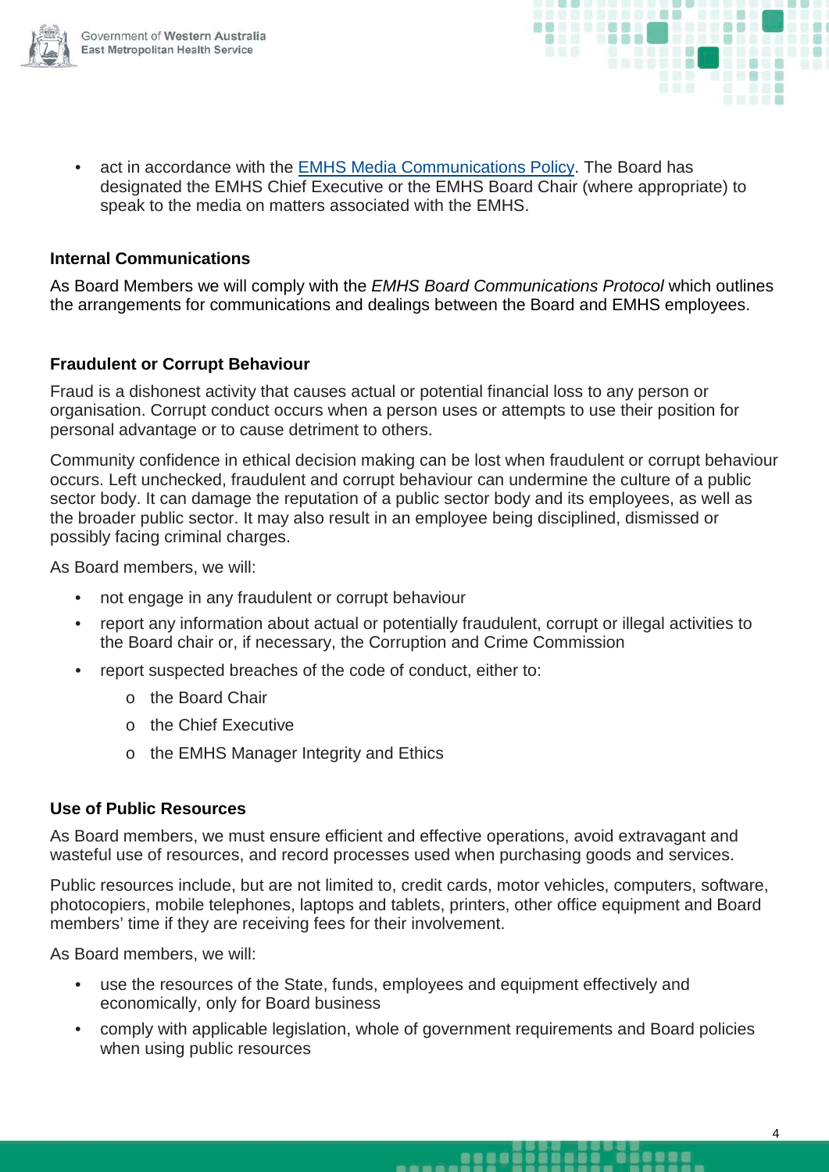

• act in accordance with the [EMHS Media Communications Policy.](https://healthpoint.hdwa.health.wa.gov.au/policies/Policies/SMAHS/SMHS/GP.Media%20Communications.pdf) The Board has designated the EMHS Chief Executive or the EMHS Board Chair (where appropriate) to speak to the media on matters associated with the EMHS.

#### **Internal Communications**

As Board Members we will comply with the *EMHS Board Communications Protocol* which outlines the arrangements for communications and dealings between the Board and EMHS employees.

#### **Fraudulent or Corrupt Behaviour**

Fraud is a dishonest activity that causes actual or potential financial loss to any person or organisation. Corrupt conduct occurs when a person uses or attempts to use their position for personal advantage or to cause detriment to others.

Community confidence in ethical decision making can be lost when fraudulent or corrupt behaviour occurs. Left unchecked, fraudulent and corrupt behaviour can undermine the culture of a public sector body. It can damage the reputation of a public sector body and its employees, as well as the broader public sector. It may also result in an employee being disciplined, dismissed or possibly facing criminal charges.

As Board members, we will:

- not engage in any fraudulent or corrupt behaviour
- report any information about actual or potentially fraudulent, corrupt or illegal activities to the Board chair or, if necessary, the Corruption and Crime Commission
- report suspected breaches of the code of conduct, either to:
	- o the Board Chair
	- o the Chief Executive
	- o the EMHS Manager Integrity and Ethics

#### **Use of Public Resources**

As Board members, we must ensure efficient and effective operations, avoid extravagant and wasteful use of resources, and record processes used when purchasing goods and services.

Public resources include, but are not limited to, credit cards, motor vehicles, computers, software, photocopiers, mobile telephones, laptops and tablets, printers, other office equipment and Board members' time if they are receiving fees for their involvement.

As Board members, we will:

- use the resources of the State, funds, employees and equipment effectively and economically, only for Board business
- comply with applicable legislation, whole of government requirements and Board policies when using public resources

.....

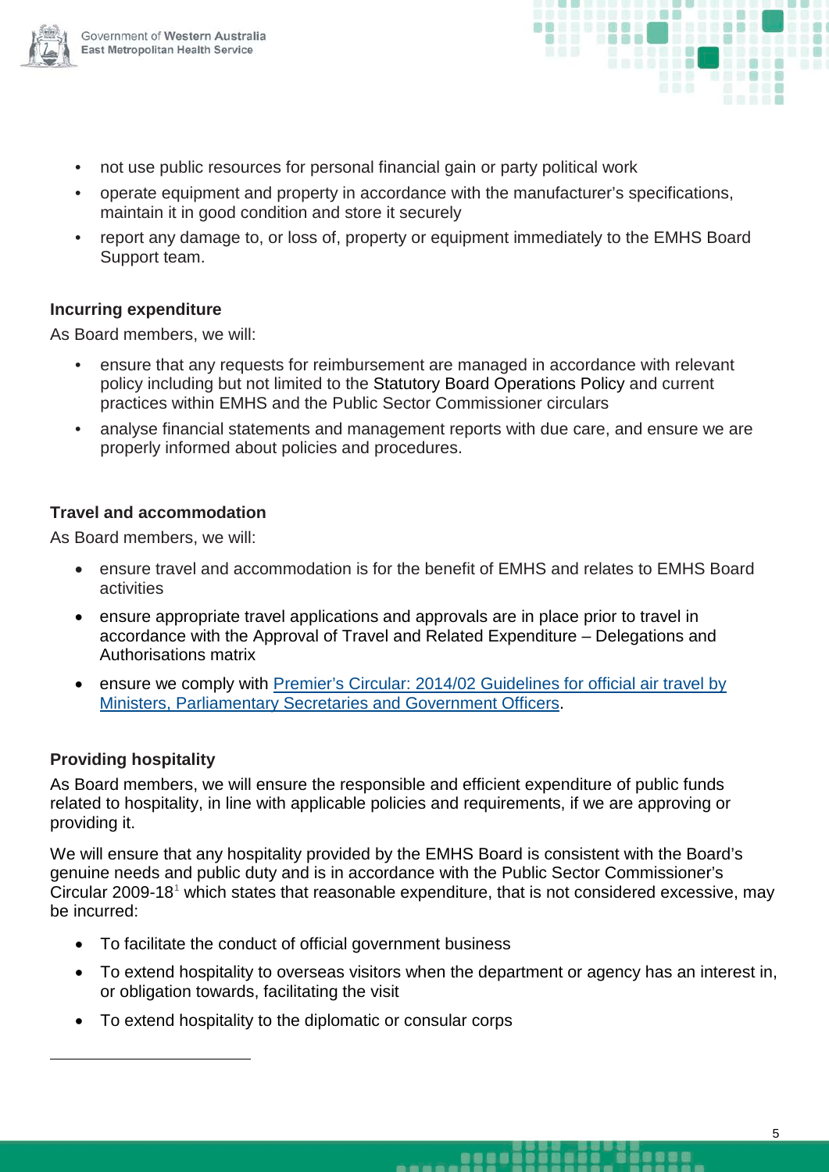



- not use public resources for personal financial gain or party political work
- operate equipment and property in accordance with the manufacturer's specifications, maintain it in good condition and store it securely
- report any damage to, or loss of, property or equipment immediately to the EMHS Board Support team.

#### **Incurring expenditure**

As Board members, we will:

- ensure that any requests for reimbursement are managed in accordance with relevant policy including but not limited to the Statutory Board Operations Policy and current practices within EMHS and the Public Sector Commissioner circulars
- analyse financial statements and management reports with due care, and ensure we are properly informed about policies and procedures.

#### **Travel and accommodation**

As Board members, we will:

- ensure travel and accommodation is for the benefit of EMHS and relates to EMHS Board activities
- ensure appropriate travel applications and approvals are in place prior to travel in accordance with the Approval of Travel and Related Expenditure – Delegations and Authorisations matrix
- ensure we comply with Premier's Circular: 2014/02 Guidelines for official air travel by [Ministers, Parliamentary Secretaries and Government Officers.](https://publicsector.wa.gov.au/sites/default/files/documents/2009-18_guidelines_for_expenditure_on_official_hospitality_2.pdf)

#### **Providing hospitality**

<span id="page-5-0"></span>-

As Board members, we will ensure the responsible and efficient expenditure of public funds related to hospitality, in line with applicable policies and requirements, if we are approving or providing it.

We will ensure that any hospitality provided by the EMHS Board is consistent with the Board's genuine needs and public duty and is in accordance with the Public Sector Commissioner's Circular 2009-[1](#page-5-0)8<sup>1</sup> which states that reasonable expenditure, that is not considered excessive, may be incurred:

- To facilitate the conduct of official government business
- To extend hospitality to overseas visitors when the department or agency has an interest in, or obligation towards, facilitating the visit

.....

<u>.......</u>

• To extend hospitality to the diplomatic or consular corps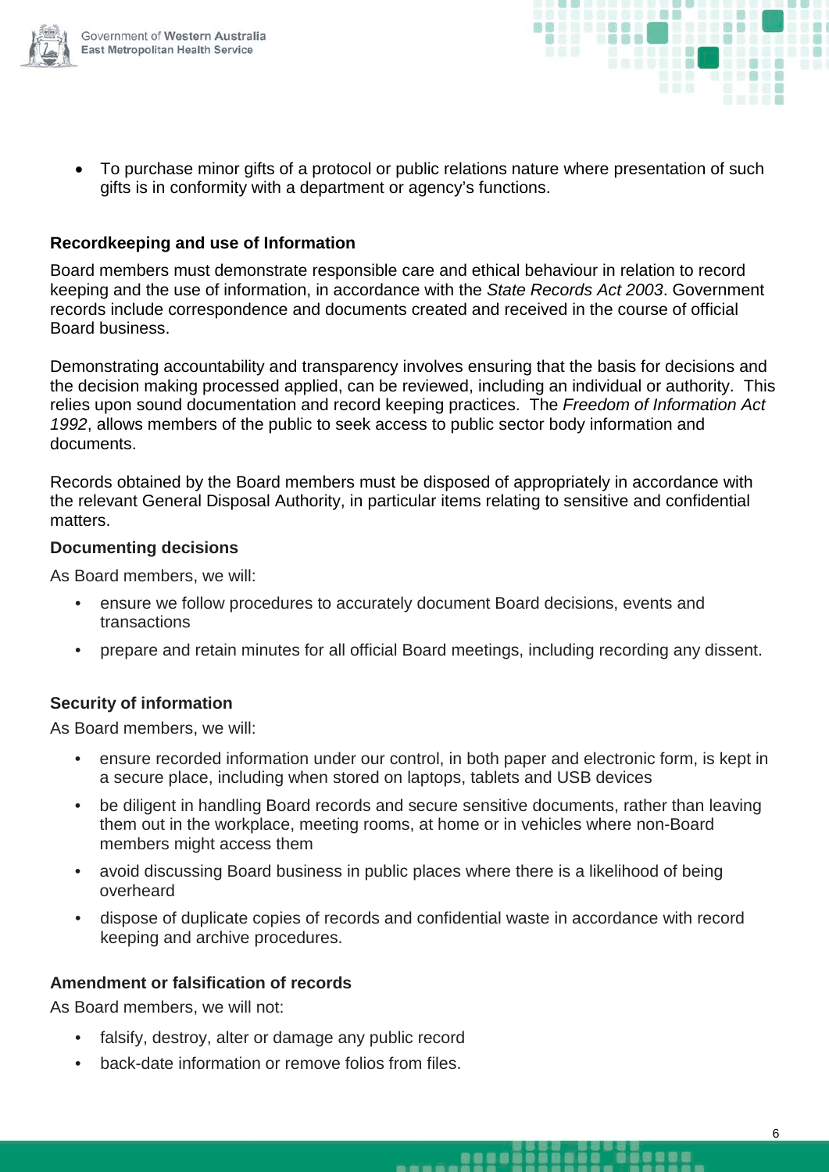

- 
- To purchase minor gifts of a protocol or public relations nature where presentation of such gifts is in conformity with a department or agency's functions.

#### **Recordkeeping and use of Information**

Board members must demonstrate responsible care and ethical behaviour in relation to record keeping and the use of information, in accordance with the *State Records Act 2003*. Government records include correspondence and documents created and received in the course of official Board business.

Demonstrating accountability and transparency involves ensuring that the basis for decisions and the decision making processed applied, can be reviewed, including an individual or authority. This relies upon sound documentation and record keeping practices. The *Freedom of Information Act 1992*, allows members of the public to seek access to public sector body information and documents.

Records obtained by the Board members must be disposed of appropriately in accordance with the relevant General Disposal Authority, in particular items relating to sensitive and confidential matters.

#### **Documenting decisions**

As Board members, we will:

- ensure we follow procedures to accurately document Board decisions, events and transactions
- prepare and retain minutes for all official Board meetings, including recording any dissent.

#### **Security of information**

As Board members, we will:

- ensure recorded information under our control, in both paper and electronic form, is kept in a secure place, including when stored on laptops, tablets and USB devices
- be diligent in handling Board records and secure sensitive documents, rather than leaving them out in the workplace, meeting rooms, at home or in vehicles where non-Board members might access them
- avoid discussing Board business in public places where there is a likelihood of being overheard
- dispose of duplicate copies of records and confidential waste in accordance with record keeping and archive procedures.

#### **Amendment or falsification of records**

As Board members, we will not:

- falsify, destroy, alter or damage any public record
- back-date information or remove folios from files.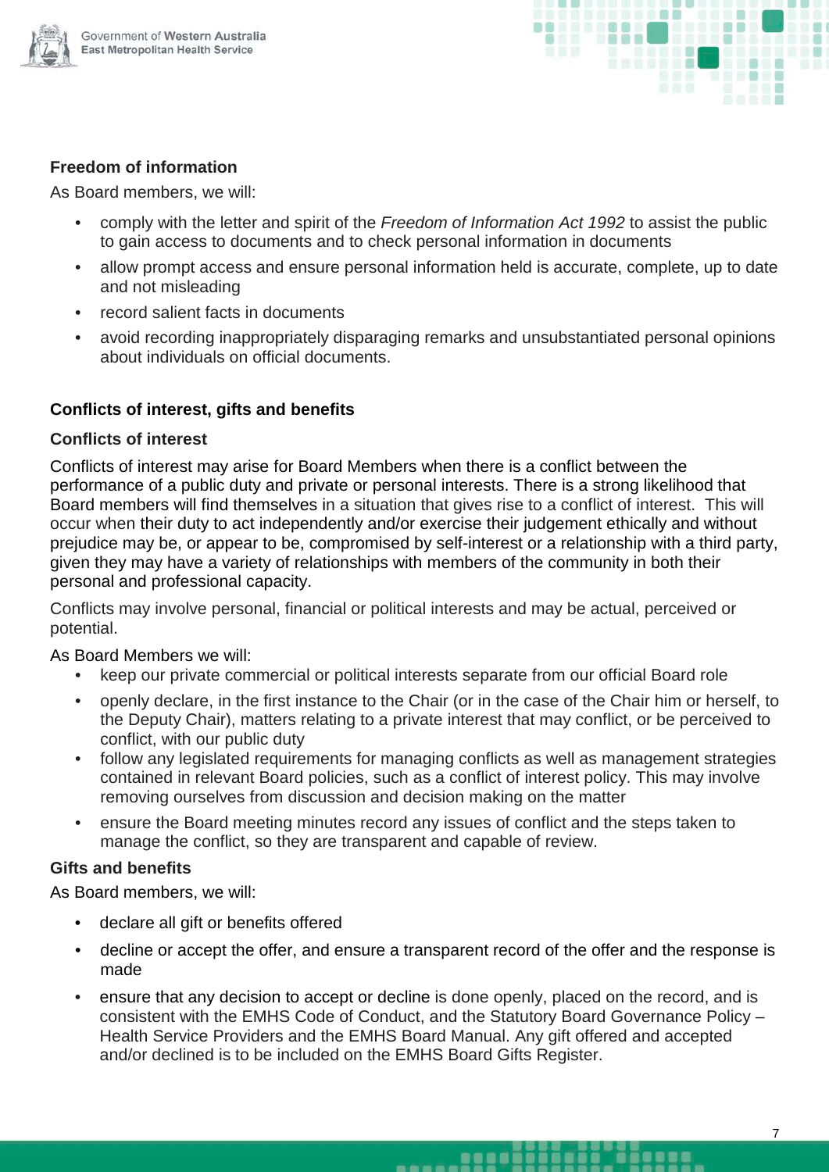



#### **Freedom of information**

As Board members, we will:

- comply with the letter and spirit of the *Freedom of Information Act 1992* to assist the public to gain access to documents and to check personal information in documents
- allow prompt access and ensure personal information held is accurate, complete, up to date and not misleading
- record salient facts in documents
- avoid recording inappropriately disparaging remarks and unsubstantiated personal opinions about individuals on official documents.

#### **Conflicts of interest, gifts and benefits**

#### **Conflicts of interest**

Conflicts of interest may arise for Board Members when there is a conflict between the performance of a public duty and private or personal interests. There is a strong likelihood that Board members will find themselves in a situation that gives rise to a conflict of interest. This will occur when their duty to act independently and/or exercise their judgement ethically and without prejudice may be, or appear to be, compromised by self-interest or a relationship with a third party, given they may have a variety of relationships with members of the community in both their personal and professional capacity.

Conflicts may involve personal, financial or political interests and may be actual, perceived or potential.

#### As Board Members we will:

- keep our private commercial or political interests separate from our official Board role
- openly declare, in the first instance to the Chair (or in the case of the Chair him or herself, to the Deputy Chair), matters relating to a private interest that may conflict, or be perceived to conflict, with our public duty
- follow any legislated requirements for managing conflicts as well as management strategies contained in relevant Board policies, such as a conflict of interest policy. This may involve removing ourselves from discussion and decision making on the matter
- ensure the Board meeting minutes record any issues of conflict and the steps taken to manage the conflict, so they are transparent and capable of review.

#### **Gifts and benefits**

As Board members, we will:

- declare all gift or benefits offered
- decline or accept the offer, and ensure a transparent record of the offer and the response is made
- ensure that any decision to accept or decline is done openly, placed on the record, and is consistent with the EMHS Code of Conduct, and the Statutory Board Governance Policy – Health Service Providers and the EMHS Board Manual. Any gift offered and accepted and/or declined is to be included on the EMHS Board Gifts Register.

.....

,,,,,

s s a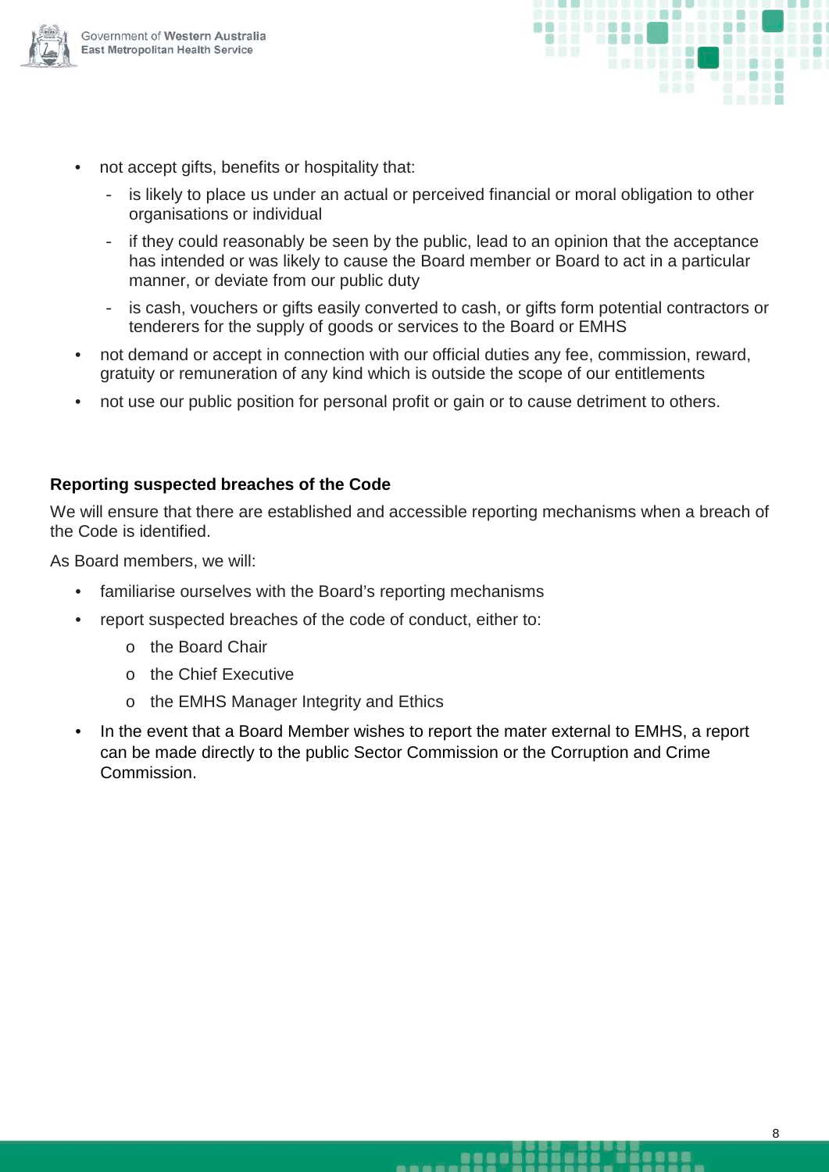



- not accept gifts, benefits or hospitality that:
	- is likely to place us under an actual or perceived financial or moral obligation to other organisations or individual
	- if they could reasonably be seen by the public, lead to an opinion that the acceptance has intended or was likely to cause the Board member or Board to act in a particular manner, or deviate from our public duty
	- is cash, vouchers or gifts easily converted to cash, or gifts form potential contractors or tenderers for the supply of goods or services to the Board or EMHS
- not demand or accept in connection with our official duties any fee, commission, reward, gratuity or remuneration of any kind which is outside the scope of our entitlements
- not use our public position for personal profit or gain or to cause detriment to others.

#### **Reporting suspected breaches of the Code**

We will ensure that there are established and accessible reporting mechanisms when a breach of the Code is identified.

As Board members, we will:

- familiarise ourselves with the Board's reporting mechanisms
- report suspected breaches of the code of conduct, either to:
	- o the Board Chair
	- o the Chief Executive
	- o the EMHS Manager Integrity and Ethics
- In the event that a Board Member wishes to report the mater external to EMHS, a report can be made directly to the public Sector Commission or the Corruption and Crime **Commission**